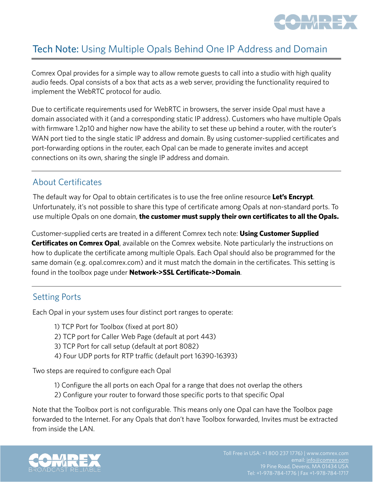

## Tech Note: Using Multiple Opals Behind One IP Address and Domain

Comrex Opal provides for a simple way to allow remote guests to call into a studio with high quality audio feeds. Opal consists of a box that acts as a web server, providing the functionality required to implement the WebRTC protocol for audio.

Due to certificate requirements used for WebRTC in browsers, the server inside Opal must have a domain associated with it (and a corresponding static IP address). Customers who have multiple Opals with firmware 1.2p10 and higher now have the ability to set these up behind a router, with the router's WAN port tied to the single static IP address and domain. By using customer-supplied certificates and port-forwarding options in the router, each Opal can be made to generate invites and accept connections on its own, sharing the single IP address and domain.

#### About Certificates

The default way for Opal to obtain certificates is to use the free online resource **Let's Encrypt**. Unfortunately, it's not possible to share this type of certificate among Opals at non-standard ports. To use multiple Opals on one domain, **the customer must supply their own certificates to all the Opals.**

Customer-supplied certs are treated in a different Comrex tech note: **Using Customer Supplied Certificates on Comrex Opal**, available on the Comrex website. Note particularly the instructions on how to duplicate the certificate among multiple Opals. Each Opal should also be programmed for the same domain (e.g. opal.comrex.com) and it must match the domain in the certificates. This setting is found in the toolbox page under **Network->SSL Certificate->Domain**.

## Setting Ports

Each Opal in your system uses four distinct port ranges to operate:

- 1) TCP Port for Toolbox (fixed at port 80)
- 2) TCP port for Caller Web Page (default at port 443)
- 3) TCP Port for call setup (default at port 8082)
- 4) Four UDP ports for RTP traffic (default port 16390-16393)

Two steps are required to configure each Opal

- 1) Configure the all ports on each Opal for a range that does not overlap the others
- 2) Configure your router to forward those specific ports to that specific Opal

Note that the Toolbox port is not configurable. This means only one Opal can have the Toolbox page forwarded to the Internet. For any Opals that don't have Toolbox forwarded, Invites must be extracted from inside the LAN.

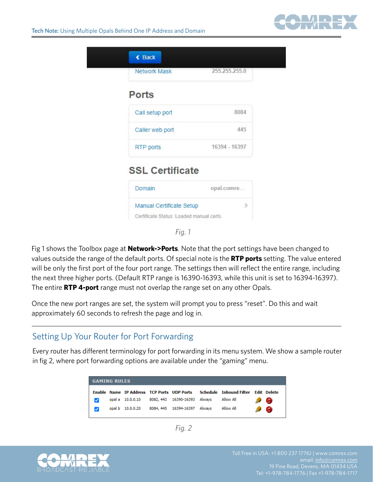

|                        | 255.255.255.0 |
|------------------------|---------------|
| <b>Ports</b>           |               |
| Call setup port        | 8084          |
| Caller web port        | 445           |
| RTP ports              | 16394 - 16397 |
| <b>SSL Certificate</b> |               |
|                        | opal.comre    |

*Fig. 1*

Fig 1 shows the Toolbox page at **Network->Ports**. Note that the port settings have been changed to values outside the range of the default ports. Of special note is the **RTP ports** setting. The value entered will be only the first port of the four port range. The settings then will reflect the entire range, including the next three higher ports. (Default RTP range is 16390-16393, while this unit is set to 16394-16397). The entire **RTP 4-port** range must not overlap the range set on any other Opals.

Once the new port ranges are set, the system will prompt you to press "reset". Do this and wait approximately 60 seconds to refresh the page and log in.

## Setting Up Your Router for Port Forwarding

Every router has different terminology for port forwarding in its menu system. We show a sample router in fig 2, where port forwarding options are available under the "gaming" menu.

| <b>GAMING RULES</b> |  |                  |  |                              |  |                                                                                |  |             |  |
|---------------------|--|------------------|--|------------------------------|--|--------------------------------------------------------------------------------|--|-------------|--|
|                     |  |                  |  |                              |  | Enable Name IP Address TCP Ports UDP Ports Schedule Inbound Filter Edit Delete |  |             |  |
|                     |  | opal a 10.0.0.10 |  | 8082, 443 16390-16393 Always |  | Allow All                                                                      |  | Θ           |  |
|                     |  | opal b 10.0.0.20 |  | 8084, 445 16394-16397 Always |  | Allow All                                                                      |  | $\bullet$ 8 |  |

*Fig. 2*